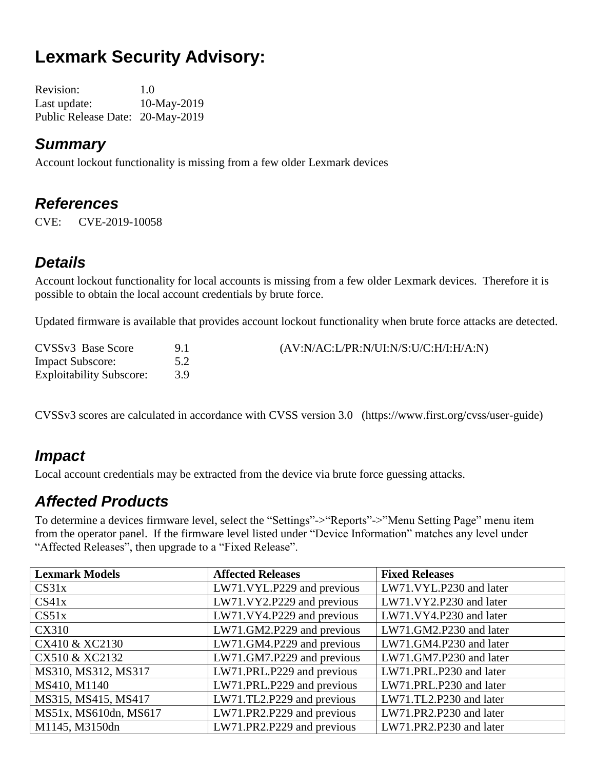# **Lexmark Security Advisory:**

Revision: 1.0 Last update: 10-May-2019 Public Release Date: 20-May-2019

#### *Summary*

Account lockout functionality is missing from a few older Lexmark devices

#### *References*

CVE: CVE-2019-10058

### *Details*

Account lockout functionality for local accounts is missing from a few older Lexmark devices. Therefore it is possible to obtain the local account credentials by brute force.

Updated firmware is available that provides account lockout functionality when brute force attacks are detected.

| CVSSv3 Base Score               | $(AV:N/AC: L/PR:N/UI:N/S: U/C:H/I:H/A:N)$ |
|---------------------------------|-------------------------------------------|
| <b>Impact Subscore:</b>         |                                           |
| <b>Exploitability Subscore:</b> |                                           |

CVSSv3 scores are calculated in accordance with CVSS version 3.0 (https://www.first.org/cvss/user-guide)

#### *Impact*

Local account credentials may be extracted from the device via brute force guessing attacks.

#### *Affected Products*

To determine a devices firmware level, select the "Settings"->"Reports"->"Menu Setting Page" menu item from the operator panel. If the firmware level listed under "Device Information" matches any level under "Affected Releases", then upgrade to a "Fixed Release".

| <b>Lexmark Models</b> | <b>Affected Releases</b>   | <b>Fixed Releases</b>   |
|-----------------------|----------------------------|-------------------------|
| CS31x                 | LW71.VYL.P229 and previous | LW71.VYL.P230 and later |
| CS41x                 | LW71.VY2.P229 and previous | LW71.VY2.P230 and later |
| CS51x                 | LW71.VY4.P229 and previous | LW71.VY4.P230 and later |
| <b>CX310</b>          | LW71.GM2.P229 and previous | LW71.GM2.P230 and later |
| CX410 & XC2130        | LW71.GM4.P229 and previous | LW71.GM4.P230 and later |
| CX510 & XC2132        | LW71.GM7.P229 and previous | LW71.GM7.P230 and later |
| MS310, MS312, MS317   | LW71.PRL.P229 and previous | LW71.PRL.P230 and later |
| MS410, M1140          | LW71.PRL.P229 and previous | LW71.PRL.P230 and later |
| MS315, MS415, MS417   | LW71.TL2.P229 and previous | LW71.TL2.P230 and later |
| MS51x, MS610dn, MS617 | LW71.PR2.P229 and previous | LW71.PR2.P230 and later |
| M1145, M3150dn        | LW71.PR2.P229 and previous | LW71.PR2.P230 and later |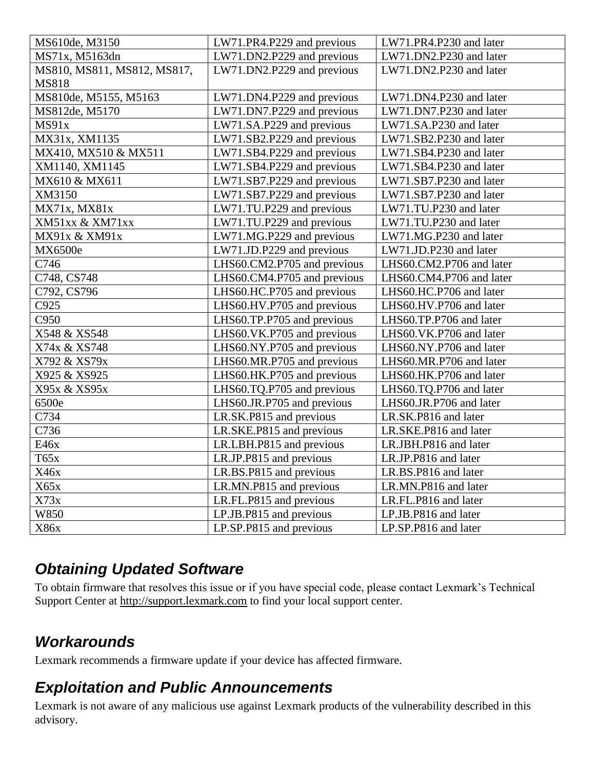| MS610de, M3150              | LW71.PR4.P229 and previous  | LW71.PR4.P230 and later  |
|-----------------------------|-----------------------------|--------------------------|
| MS71x, M5163dn              | LW71.DN2.P229 and previous  | LW71.DN2.P230 and later  |
| MS810, MS811, MS812, MS817, | LW71.DN2.P229 and previous  | LW71.DN2.P230 and later  |
| MS818                       |                             |                          |
| MS810de, M5155, M5163       | LW71.DN4.P229 and previous  | LW71.DN4.P230 and later  |
| MS812de, M5170              | LW71.DN7.P229 and previous  | LW71.DN7.P230 and later  |
| MS91x                       | LW71.SA.P229 and previous   | LW71.SA.P230 and later   |
| MX31x, XM1135               | LW71.SB2.P229 and previous  | LW71.SB2.P230 and later  |
| MX410, MX510 & MX511        | LW71.SB4.P229 and previous  | LW71.SB4.P230 and later  |
| XM1140, XM1145              | LW71.SB4.P229 and previous  | LW71.SB4.P230 and later  |
| MX610 & MX611               | LW71.SB7.P229 and previous  | LW71.SB7.P230 and later  |
| XM3150                      | LW71.SB7.P229 and previous  | LW71.SB7.P230 and later  |
| MX71x, MX81x                | LW71.TU.P229 and previous   | LW71.TU.P230 and later   |
| XM51xx & XM71xx             | LW71.TU.P229 and previous   | LW71.TU.P230 and later   |
| MX91x & XM91x               | LW71.MG.P229 and previous   | LW71.MG.P230 and later   |
| MX6500e                     | LW71.JD.P229 and previous   | LW71.JD.P230 and later   |
| C746                        | LHS60.CM2.P705 and previous | LHS60.CM2.P706 and later |
| C748, CS748                 | LHS60.CM4.P705 and previous | LHS60.CM4.P706 and later |
| C792, CS796                 | LHS60.HC.P705 and previous  | LHS60.HC.P706 and later  |
| C925                        | LHS60.HV.P705 and previous  | LHS60.HV.P706 and later  |
| C950                        | LHS60.TP.P705 and previous  | LHS60.TP.P706 and later  |
| X548 & XS548                | LHS60.VK.P705 and previous  | LHS60.VK.P706 and later  |
| X74x & XS748                | LHS60.NY.P705 and previous  | LHS60.NY.P706 and later  |
| X792 & XS79x                | LHS60.MR.P705 and previous  | LHS60.MR.P706 and later  |
| X925 & XS925                | LHS60.HK.P705 and previous  | LHS60.HK.P706 and later  |
| X95x & XS95x                | LHS60.TQ.P705 and previous  | LHS60.TQ.P706 and later  |
| 6500e                       | LHS60.JR.P705 and previous  | LHS60.JR.P706 and later  |
| C734                        | LR.SK.P815 and previous     | LR.SK.P816 and later     |
| C736                        | LR.SKE.P815 and previous    | LR.SKE.P816 and later    |
| E46x                        | LR.LBH.P815 and previous    | LR.JBH.P816 and later    |
| T65x                        | LR.JP.P815 and previous     | LR.JP.P816 and later     |
| X46x                        | LR.BS.P815 and previous     | LR.BS.P816 and later     |
| X65x                        | LR.MN.P815 and previous     | LR.MN.P816 and later     |
| X73x                        | LR.FL.P815 and previous     | LR.FL.P816 and later     |
| W850                        | LP.JB.P815 and previous     | LP.JB.P816 and later     |
| X86x                        | LP.SP.P815 and previous     | LP.SP.P816 and later     |

#### *Obtaining Updated Software*

To obtain firmware that resolves this issue or if you have special code, please contact Lexmark's Technical Support Center at [http://support.lexmark.com](http://support.lexmark.com/) to find your local support center.

## *Workarounds*

Lexmark recommends a firmware update if your device has affected firmware.

#### *Exploitation and Public Announcements*

Lexmark is not aware of any malicious use against Lexmark products of the vulnerability described in this advisory.